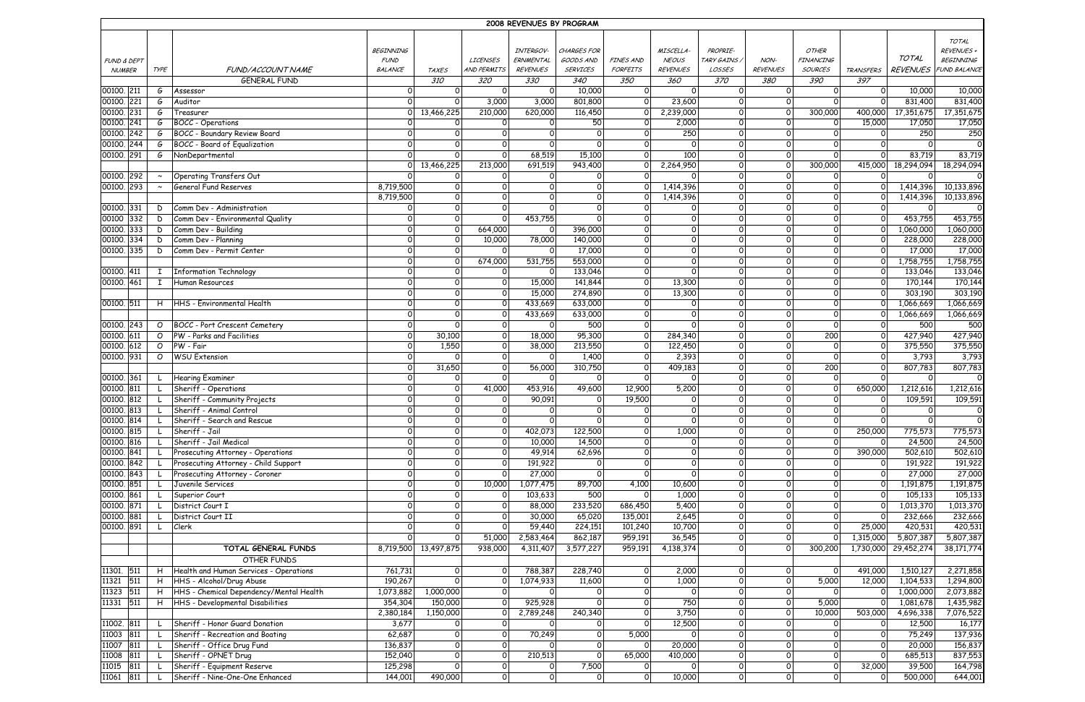|                        |              |                                         |                  |                      |                 | 2008 REVENUES BY PROGRAM |                 |                  |                 |                |                 |                  |                  |                 |                    |
|------------------------|--------------|-----------------------------------------|------------------|----------------------|-----------------|--------------------------|-----------------|------------------|-----------------|----------------|-----------------|------------------|------------------|-----------------|--------------------|
|                        |              |                                         |                  |                      |                 |                          |                 |                  |                 |                |                 |                  |                  |                 | TOTAL              |
|                        |              |                                         | <b>BEGINNING</b> |                      |                 | INTERGOV-                | CHARGES FOR     |                  | MISCELLA-       | PROPRIE-       |                 | OTHER            |                  |                 | REVENUES +         |
| <b>FUND &amp; DEPT</b> |              |                                         | <b>FUND</b>      |                      | <b>LICENSES</b> | ERNMENTAL                | GOODS AND       | <b>FINES AND</b> | <b>NEOUS</b>    | TARY GAINS /   | NON-            | <b>FINANCING</b> |                  | TOTAL           | BEGINNING          |
| <b>NUMBER</b>          | <b>TYPE</b>  | FUND/ACCOUNT NAME                       | BALANCE          | <b>TAXES</b>         | AND PERMITS     | <b>REVENUES</b>          | <b>SERVICES</b> | FORFEITS         | <b>REVENUES</b> | LOSSES         | <b>REVENUES</b> | <b>SOURCES</b>   | <b>TRANSFERS</b> | <b>REVENUES</b> | FUND BALANCE       |
|                        |              | <b>GENERAL FUND</b>                     |                  | 310                  | 320             | 330                      | 340             | 350              | 360             | 370            | 380             | 390              | 397              |                 |                    |
| 00100. 211             | G            | Assessor                                | $\Omega$         | $\Omega$             | $\Omega$        | $\Omega$                 | 10,000          | $\circ$          | $\Omega$        | $\Omega$       | $\circ$         | $\Omega$         | $\Omega$         | 10,000          | 10,000             |
| 221<br>00100.          | G            | Auditor                                 | $\Omega$         | $\Omega$             | 3,000           | 3,000                    | 801,800         | $\Omega$         | 23,600          | $\Omega$       | $\Omega$        | $\Omega$         | $\Omega$         | 831,400         | 831,400            |
| 00100. 231             | G            | Treasurer                               | $\Omega$         | 13,466,225           | 210,000         | 620,000                  | 116,450         | $\Omega$         | 2,239,000       | $\mathsf{O}$   | $\Omega$        | 300,000          | 400,000          | 17,351,675      | 17,351,675         |
| 241<br>00100.          | G            | <b>BOCC</b> - Operations                | $\overline{O}$   | $\mathsf{O}$         | $\mathsf{o}$    | $\Omega$                 | 50              | $\overline{O}$   | 2,000           | $\mathsf{O}$   | $\Omega$        | $\Omega$         | 15,000           | 17,050          | 17,050             |
| 242<br>00100.          | G            | <b>BOCC - Boundary Review Board</b>     | 0                | $\Omega$             | $\Omega$        | $\Omega$                 | $\Omega$        | $\circ$          | 250             | $\mathsf{O}$   | $\Omega$        | $\Omega$         | $\mathsf{O}$     | 250             | 250                |
| 244<br>00100.          | G            | <b>BOCC</b> - Board of Equalization     | 0                | $\Omega$             | $\Omega$        | $\Omega$                 |                 | $\circ$          | $\Omega$        | $\mathsf{o}$   | $\Omega$        | $\Omega$         | $\Omega$         |                 | $\Omega$           |
| 00100. 291             | G            | NonDepartmental                         | $\Omega$         | $\Omega$             | $\mathsf{o}$    | 68,519                   | 15,100          | $\Omega$         | 100             | $\mathsf{o}$   | $\Omega$        | $\Omega$         | $\Omega$         | 83,719          | 83,719             |
|                        |              |                                         | $\Omega$         | 13,466,225           | 213,000         | 691,519                  | 943,400         | $\Omega$         | 2,264,950       | $\mathsf{o}$   | $\Omega$        | 300,000          | 415,000          | 18,294,094      | 18,294,094         |
| 00100. 292             | $\sim$       | Operating Transfers Out                 | $\Omega$         | $\mathsf{O}$         | $\overline{O}$  | $\circ$                  | $\Omega$        | $\Omega$         |                 | $\mathsf{O}$   | $\Omega$        | $\circ$          | $\Omega$         | $\Omega$        | 0                  |
| 00100. 293             | $\sim$       | <b>General Fund Reserves</b>            | 8,719,500        | $\Omega$             | $\mathsf{O}$    | $\Omega$                 | $\Omega$        | $\Omega$         | 1,414,396       | $\mathsf{o}$   | $\mathsf{O}$    | $\Omega$         |                  | 1,414,396       | 10,133,896         |
|                        |              |                                         | 8,719,500        | $\overline{O}$       | $\circ$         | $\Omega$                 | $\Omega$        | $\Omega$         | 1,414,396       | $\mathsf{o}$   | $\Omega$        | $\Omega$         |                  | 1,414,396       | 10,133,896         |
| 00100. 331             | D            | Comm Dev - Administration               | 0                | $\Omega$             | $\Omega$        | $\Omega$                 | $\Omega$        | $\overline{0}$   | $\Omega$        | $\Omega$       | $\Omega$        | $\Omega$         | $\Omega$         | $\Omega$        | 0                  |
| 332<br>00100           | D            | Comm Dev - Environmental Quality        | $\Omega$         | $\Omega$             | $\Omega$        | 453,755                  | $\Omega$        | $\circ$          | $\Omega$        | $\Omega$       | $\Omega$        | $\Omega$         | $\Omega$         | 453,755         | 453,755            |
| 333<br>00100.          | D            | Comm Dev - Building                     | 0                | $\Omega$             | 664,000         | $\Omega$                 | 396,000         | $\circ$          | $\Omega$        | $\Omega$       | $\Omega$        | $\Omega$         | $\Omega$         | 1,060,000       | 1,060,000          |
| 334<br>00100.          | D            | Comm Dev - Planning                     | $\Omega$         | $\Omega$             | 10,000          | 78,000                   | 140,000         | $\mathsf{o}$     | $\Omega$        | $\Omega$       | $\Omega$        | $\Omega$         | $\Omega$         | 228,000         | 228,000            |
| 00100. 335             | D            | Comm Dev - Permit Center                | $\overline{O}$   | $\Omega$             | $\Omega$        | $\circ$                  | 17,000          | $\overline{0}$   | $\Omega$        | $\Omega$       | $\Omega$        | $\Omega$         | $\Omega$         | 17,000          | 17,000             |
|                        |              |                                         | $\Omega$         | $\Omega$             | 674,000         | 531,755                  | 553,000         | $\overline{O}$   | $\Omega$        | $\Omega$       | $\Omega$        | $\Omega$         | $\Omega$         | 1,758,755       | 1,758,755          |
| 00100. 411             | $\mathbf{I}$ | <b>Information Technology</b>           | $\Omega$         | $\Omega$             | $\overline{0}$  | $\Omega$                 | 133,046         | $\mathsf{o}$     |                 | $\Omega$       | $\Omega$        | $\Omega$         | $\Omega$         | 133,046         | 133,046            |
| 00100. 461             | $\mathbf{I}$ | Human Resources                         | 0                | $\Omega$             | $\overline{O}$  | 15,000                   | 141,844         | $\mathsf{O}$     | 13,300          | $\Omega$       | $\Omega$        | $\Omega$         | $\Omega$         | 170,144         | 170,144            |
|                        |              |                                         | $\Omega$         | $\Omega$             | $\Omega$        | 15,000                   | 274,890         | $\mathsf{O}$     | 13,300          | $\Omega$       | $\Omega$        | $\Omega$         | $\Omega$         | 303,190         | 303,190            |
| 00100. 511             | H            | HHS - Environmental Health              | $\overline{O}$   | $\Omega$             | $\Omega$        | 433,669                  | 633,000         | $\mathsf{O}$     | $\Omega$        | $\Omega$       | $\Omega$        | $\Omega$         |                  | 1,066,669       | 1,066,669          |
|                        |              |                                         | 0                | $\Omega$             | $\Omega$        | 433,669                  | 633,000         | $\overline{O}$   | $\Omega$        | $\Omega$       | $\Omega$        | $\Omega$         | $\Omega$         | 1,066,669       | 1,066,669          |
| 00100. 243             | $\circ$      | <b>BOCC</b> - Port Crescent Cemetery    | $\Omega$         | $\Omega$             | $\mathsf{O}$    | 0                        | 500             | $\circ$          |                 | $\Omega$       | $\Omega$        | $\Omega$         | $\Omega$         | 500             | 500                |
|                        | $\circ$      | PW - Parks and Facilities               | $\Omega$         | 30,100               | $\overline{O}$  |                          | 95,300          | $\mathsf{O}$     |                 | $\mathsf{O}$   | $\Omega$        | 200              | $\Omega$         | 427,940         |                    |
| 00100.<br>611<br>612   | $\circ$      | PW - Fair                               | $\Omega$         |                      | $\Omega$        | 18,000                   | 213,550         | $\circ$          | 284,340         | $\mathsf{o}$   | $\Omega$        | $\Omega$         | $\Omega$         | 375,550         | 427,940<br>375,550 |
| 00100.                 |              |                                         |                  | 1,550<br>$\Omega$    | $\Omega$        | 38,000                   |                 | $\Omega$         | 122,450         | $\Omega$       | $\Omega$        | $\Omega$         | $\Omega$         |                 |                    |
| 00100. 931             | $\circ$      | <b>WSU Extension</b>                    | $\overline{O}$   |                      |                 | $\circ$                  | 1,400           |                  | 2,393           | $\Omega$       |                 |                  | $\Omega$         | 3,793           | 3,793              |
|                        |              |                                         | $\Omega$         | 31,650               | $\Omega$        | 56,000                   | 310,750         | $\mathsf{O}$     | 409,183         |                | $\Omega$        | 200              |                  | 807,783         | 807,783            |
| 00100. 361             | L.           | <b>Hearing Examiner</b>                 | $\Omega$         | $\mathsf{O}$         | $\Omega$        | 0                        | $\Omega$        | $\mathsf{O}$     |                 | $\Omega$       | $\Omega$        | 0                | $\Omega$         | 0               | 0                  |
| 00100.<br>811          |              | Sheriff - Operations                    | 0                | $\Omega$             | 41,000          | 453,916                  | 49,600          | 12,900           | 5,200           | $\overline{0}$ | $\mathsf{O}$    | $\Omega$         | 650,000          | 1,212,616       | 1,212,616          |
| 812<br>00100.          |              | Sheriff - Community Projects            | 0                | $\Omega$             | $\Omega$        | 90,091                   | 0               | 19,500           | $\Omega$        | $\mathsf{O}$   | $\mathbf 0$     | $\mathsf{O}$     | $\Omega$         | 109,591         | 109,591            |
| 00100. 813             |              | Sheriff - Animal Control                | $\Omega$         | $\Omega$             | $\Omega$        | $\Omega$                 | $\Omega$        | $\Omega$         | $\Omega$        | $\Omega$       |                 | $\Omega$         | $\Omega$         | $\Omega$        | 0                  |
| 00100. 814             |              | Sheriff - Search and Rescue             | 0                | $\overline{O}$       | 0               | $\circ$                  | $\circ$         | $\overline{0}$   | 0               | $\overline{O}$ | 0               | 0                | 0                | οı              | 0                  |
| 00100. 815             |              | Sheriff - Jail                          | $\overline{O}$   | $\Omega$             | $\Omega$        | 402,073                  | 122,500         | $\mathsf{O}$     | 1,000           | $\mathsf{O}$   | $\mathsf{O}$    | $\Omega$         | 250,000          | 775,573         | 775,573            |
| 00100. 816             |              | Sheriff - Jail Medical                  | 0                | $\mathsf{O}$         | $\overline{0}$  | 10,000                   | 14,500          | $\overline{0}$   | $\Omega$        | $\overline{0}$ | $\mathbf 0$     | $\mathsf{O}$     | 0                | 24,500          | 24,500             |
| 00100. 841             |              | Prosecuting Attorney - Operations       | 0                | $\Omega$             | $\mathsf{o}$    | 49,914                   | 62,696          | $\mathsf{o}$     | $\Omega$        | $\overline{0}$ | $\mathbf 0$     | $\Omega$         | 390,000          | 502,610         | 502,610            |
| 00100. 842             |              | Prosecuting Attorney - Child Support    | 0                | $\mathsf{O}$         | $\mathsf{O}$    | 191,922                  | $\mathsf{O}$    | $\overline{O}$   | $\circ$         | $\mathsf{O}$   | $\circ$         | $\circ$          | $\circ$          | 191,922         | 191,922            |
| 00100. 843             |              | Prosecuting Attorney - Coroner          | 0                | $\mathsf{O}$         | $\mathsf{o}$    | 27,000                   | $\overline{0}$  | $\mathsf{o}$     |                 | $\overline{0}$ | $\mathbf 0$     | $\mathsf{O}$     | $\mathsf{O}$     | 27,000          | 27,000             |
| 00100. 851             |              | Juvenile Services                       | 0                | $\Omega$             | 10,000          | 1,077,475                | 89,700          | 4,100            | 10,600          | $\mathsf{O}$   | $\circ$         | $\circ$          | 0                | 1,191,875       | 1,191,875          |
| 00100. 861             |              | Superior Court                          | 0                | $\mathsf{O}$         | $\mathsf{O}$    | 103,633                  | 500             | $\overline{O}$   | 1,000           | $\mathsf{O}$   | $\mathbf 0$     | $\mathsf{O}$     | $\mathsf{o}$     | 105,133         | 105,133            |
| 00100. 871             |              | District Court I                        | 0                | $\Omega$             | $\mathsf{o}$    | 88,000                   | 233,520         | 686,450          | 5,400           | $\mathsf{o}$   | $\mathbf 0$     | $\mathsf{O}$     |                  | 1,013,370       | 1,013,370          |
| 00100. 881             |              | District Court II                       | 0                | $\mathsf{O}$         | $\overline{0}$  | 30,000                   | 65,020          | 135,001          | 2,645           | $\mathsf{O}$   | $\circ$         | $\circ$          | 0                | 232,666         | 232,666            |
| 00100. 891             |              | Clerk                                   | $\Omega$         | $\mathsf{O}$         | $\mathsf{o}$    | 59,440                   | 224,151         | 101,240          | 10,700          | $\mathsf{O}$   | $\mathsf{o}$    | $\mathsf{O}$     | 25,000           | 420,531         | 420,531            |
|                        |              |                                         |                  | $\Omega$             | 51,000          | 2,583,464                | 862,187         | 959,191          | 36,545          | $\mathsf{O}$   | $\mathsf{O}$    |                  | 1,315,000        | 5,807,387       | 5,807,387          |
|                        |              | TOTAL GENERAL FUNDS                     |                  | 8,719,500 13,497,875 | 938,000         | 4,311,407                | 3,577,227       | 959,191          | 4,138,374       | $\mathsf{O}$   | $\Omega$        | 300,200          | 1,730,000        | 29,452,274      | 38,171,774         |
|                        |              | OTHER FUNDS                             |                  |                      |                 |                          |                 |                  |                 |                |                 |                  |                  |                 |                    |
| 11301. 511             | H            | Health and Human Services - Operations  | 761,731          | $\overline{0}$       | $\overline{0}$  | 788,387                  | 228,740         | $\circ$          | 2,000           | $\overline{O}$ | $\mathsf{o}$    | 0                | 491,000          | 1,510,127       | 2,271,858          |
| 11321<br>511           | H            | HHS - Alcohol/Drug Abuse                | 190,267          | $\Omega$             | $\overline{O}$  | 1,074,933                | 11,600          | $\overline{0}$   | 1,000           | $\mathsf{O}$   | $\mathsf O$     | 5,000            | 12,000           | 1,104,533       | 1,294,800          |
| 11323<br>511           | H            | HHS - Chemical Dependency/Mental Health | 1,073,882        | 1,000,000            | 0               | $\circ$                  | $\mathsf{O}$    | $\overline{0}$   | $\Omega$        | $\overline{0}$ | $\circ$         | 0                | $\mathsf{o}$     | 1,000,000       | 2,073,882          |
| 11331 511              | H            | HHS - Developmental Disabilities        | 354,304          | 150,000              | $\overline{O}$  | 925,928                  | $\Omega$        | $\overline{0}$   | 750             | $\mathsf{O}$   | $\mathsf{O}$    | 5,000            | $\mathsf{O}$     | 1,081,678       | 1,435,982          |
|                        |              |                                         | 2,380,184        | 1,150,000            | $\overline{O}$  | 2,789,248                | 240,340         | $\overline{0}$   | 3,750           | $\overline{O}$ | $\mathsf{o}$    | 10,000           | 503,000          | 4,696,338       | 7,076,522          |
| 11002. 811             | L            | Sheriff - Honor Guard Donation          | 3,677            | $\overline{0}$       | 0               | $\Omega$                 | $\mathsf{O}$    | $\mathsf{O}$     | 12,500          | $\circ$        | $\circ$         | $\circ$          | 0                | 12,500          | 16,177             |
| 11003<br>811           | L            | Sheriff - Recreation and Boating        | 62,687           | $\overline{0}$       | $\mathsf{O}$    | 70,249                   | $\Omega$        | 5,000            |                 | $\overline{0}$ | $\mathbf 0$     | $\mathsf{O}$     | $\mathsf{o}$     | 75,249          | 137,936            |
| 11007<br>811           | L            | Sheriff - Office Drug Fund              | 136,837          | $\overline{O}$       | $\mathsf{O}$    |                          | $\mathsf{O}$    | $\mathsf{O}$     | 20,000          | $\overline{0}$ | $\circ$         | $\circ$          | $\mathsf{o}$     | 20,000          | 156,837            |
| 11008<br>811           | L            | Sheriff - OPNET Drug                    | 152,040          | $\overline{O}$       | $\mathsf{O}$    | 210,513                  | $\mathsf{O}$    | 65,000           | 410,000         | $\mathsf{o}$   | $\mathbf 0$     | $\mathsf{O}$     | $\circ$          | 685,513         | 837,553            |
| 11015 811              | L.           | Sheriff - Equipment Reserve             | 125,298          | $\mathsf{O}$         | $\overline{0}$  | 0                        | 7,500           | $\overline{0}$   | $\Omega$        | $\overline{0}$ | $\circ$         | 0                | 32,000           | 39,500          | 164,798            |
| 11061 811              | L.           | Sheriff - Nine-One-One Enhanced         | 144,001          | 490,000              | 0               | $\mathsf{O}$             | $\overline{0}$  | $\overline{0}$   | 10,000          | $\overline{0}$ | $\mathsf{O}$    | $\mathsf{O}$     | $\mathsf{o}$     | 500,000         | 644,001            |